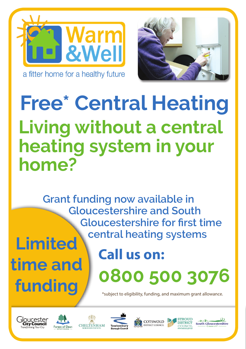



## **Free\* Central Heating Living without a central heating system in your home?**

**Grant funding now available in Gloucestershire and South Gloucestershire for first time central heating systems Limited** 

## **time and**  funding  $f$

## **Call us on: 0800 500 3076**